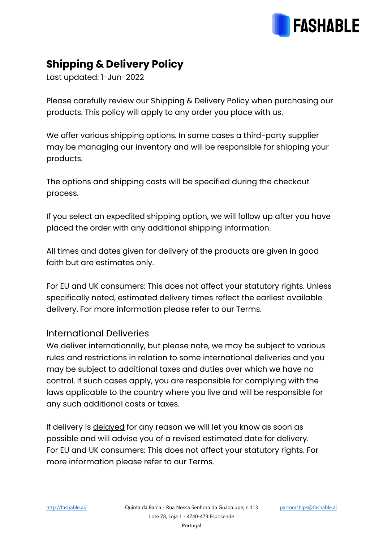

## **Shipping & Delivery Policy**

Last updated: 1-Jun-2022

Please carefully review our Shipping & Delivery Policy when purchasing our products. This policy will apply to any order you place with us.

We offer various shipping options. In some cases a third-party supplier may be managing our inventory and will be responsible for shipping your products.

The options and shipping costs will be specified during the checkout process.

If you select an expedited shipping option, we will follow up after you have placed the order with any additional shipping information.

All times and dates given for delivery of the products are given in good faith but are estimates only.

For EU and UK consumers: This does not affect your statutory rights. Unless specifically noted, estimated delivery times reflect the earliest available delivery. For more information please refer to our Terms.

## International Deliveries

We deliver internationally, but please note, we may be subject to various rules and restrictions in relation to some international deliveries and you may be subject to additional taxes and duties over which we have no control. If such cases apply, you are responsible for complying with the laws applicable to the country where you live and will be responsible for any such additional costs or taxes.

If delivery is delayed for any reason we will let you know as soon as possible and will advise you of a revised estimated date for delivery. For EU and UK consumers: This does not affect your statutory rights. For more information please refer to our Terms.